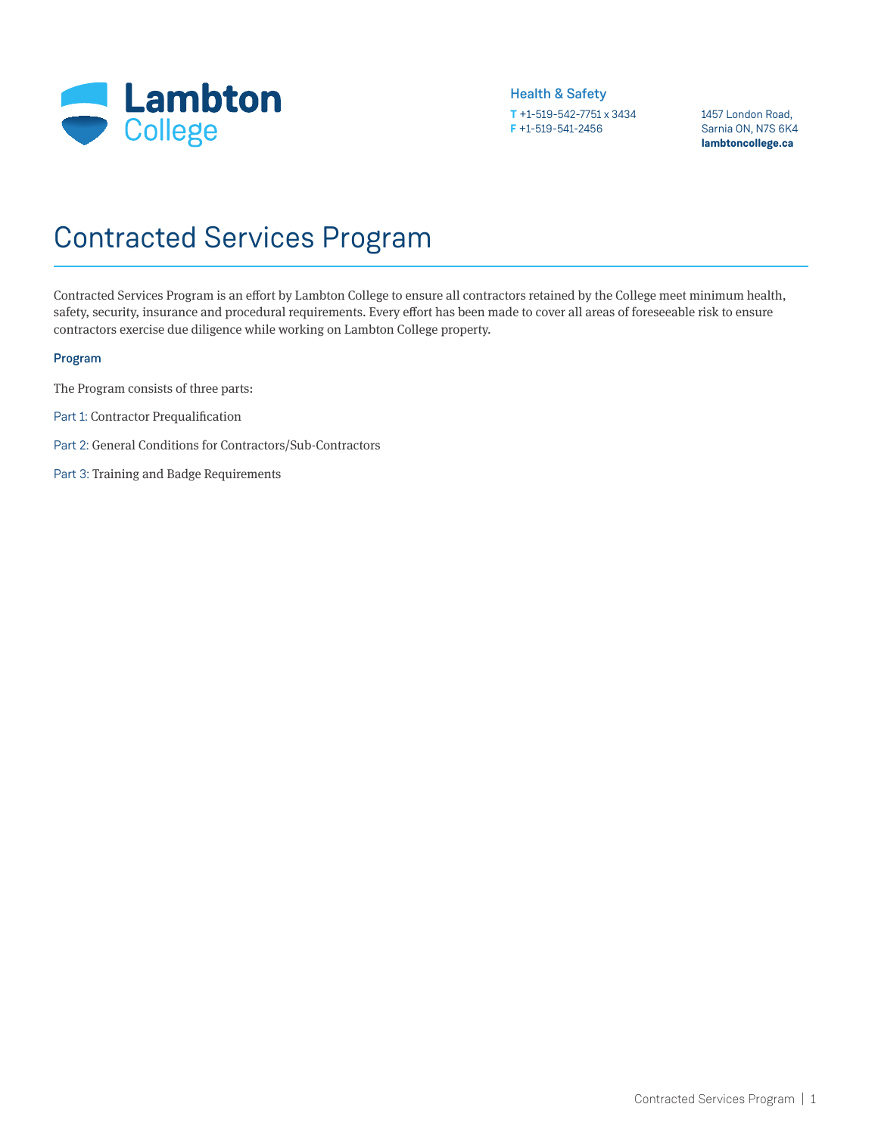

1457 London Road, Sarnia ON, N7S 6K4 **lambtoncollege.ca**

# Contracted Services Program

Contracted Services Program is an effort by Lambton College to ensure all contractors retained by the College meet minimum health, safety, security, insurance and procedural requirements. Every effort has been made to cover all areas of foreseeable risk to ensure contractors exercise due diligence while working on Lambton College property.

#### Program

The Program consists of three parts:

- Part 1: Contractor Prequalification
- Part 2: General Conditions for Contractors/Sub-Contractors
- Part 3: Training and Badge Requirements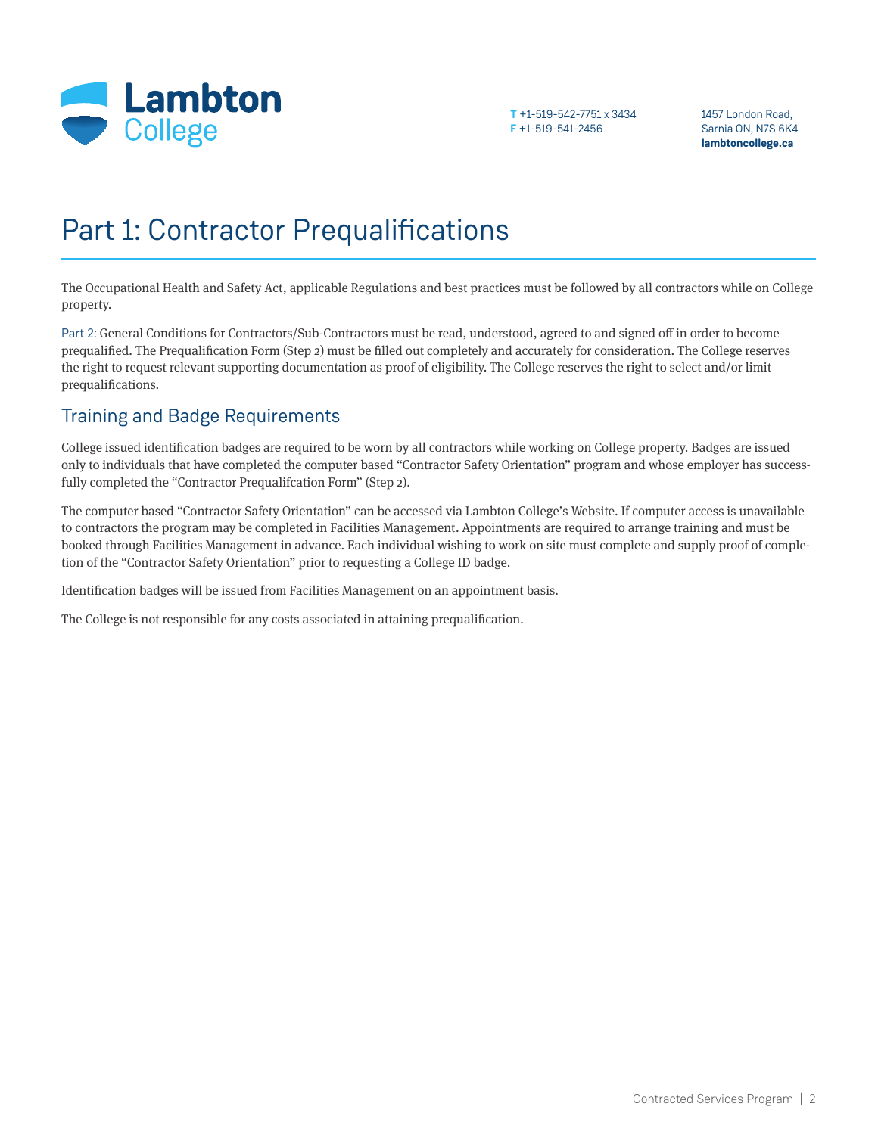

1457 London Road, Sarnia ON, N7S 6K4 **lambtoncollege.ca**

# Part 1: Contractor Prequalifications

The Occupational Health and Safety Act, applicable Regulations and best practices must be followed by all contractors while on College property.

Part 2: General Conditions for Contractors/Sub-Contractors must be read, understood, agreed to and signed off in order to become prequalified. The Prequalification Form (Step 2) must be filled out completely and accurately for consideration. The College reserves the right to request relevant supporting documentation as proof of eligibility. The College reserves the right to select and/or limit prequalifications.

## Training and Badge Requirements

College issued identification badges are required to be worn by all contractors while working on College property. Badges are issued only to individuals that have completed the computer based "Contractor Safety Orientation" program and whose employer has successfully completed the "Contractor Prequalifcation Form" (Step 2).

The computer based "Contractor Safety Orientation" can be accessed via Lambton College's Website. If computer access is unavailable to contractors the program may be completed in Facilities Management. Appointments are required to arrange training and must be booked through Facilities Management in advance. Each individual wishing to work on site must complete and supply proof of completion of the "Contractor Safety Orientation" prior to requesting a College ID badge.

Identification badges will be issued from Facilities Management on an appointment basis.

The College is not responsible for any costs associated in attaining prequalification.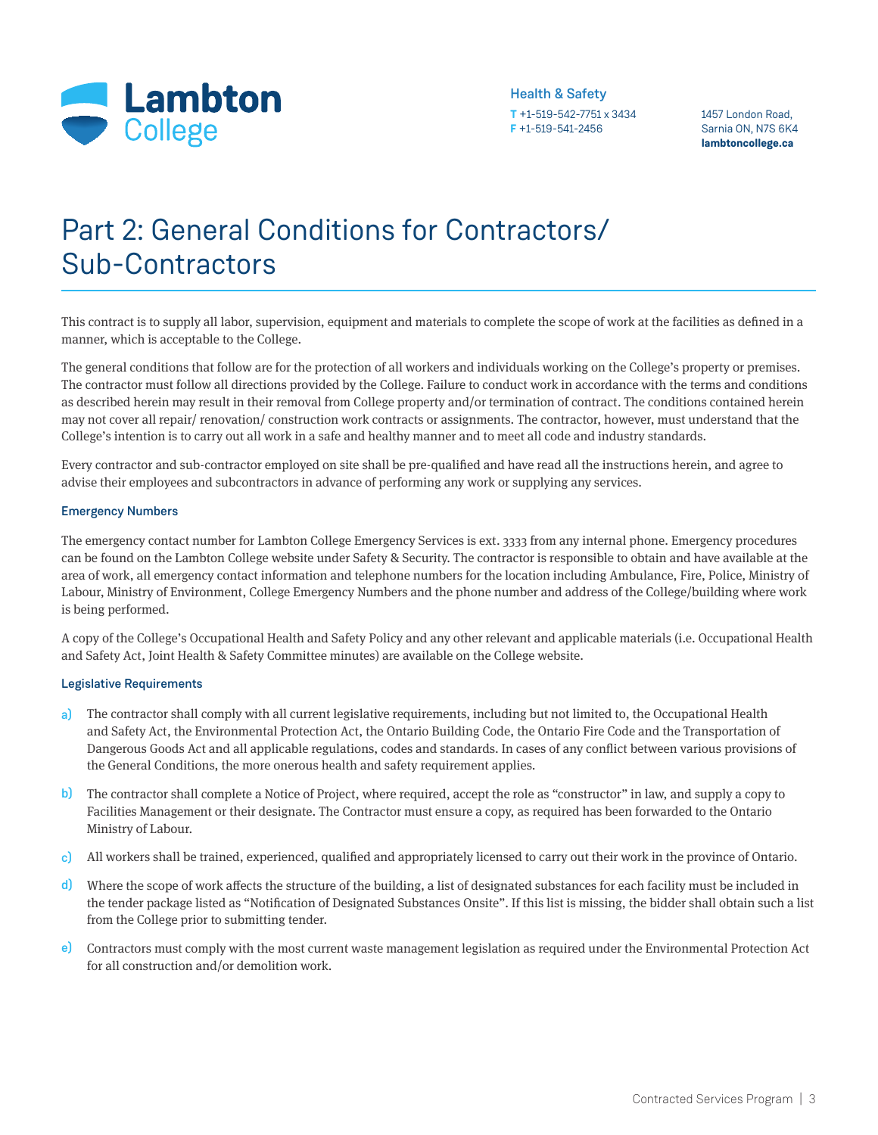

#### **T** +1-519-542-7751 x 3434 Health & Safety

**F** +1-519-541-2456

1457 London Road, Sarnia ON, N7S 6K4 **lambtoncollege.ca**

# Part 2: General Conditions for Contractors/ Sub-Contractors

This contract is to supply all labor, supervision, equipment and materials to complete the scope of work at the facilities as defined in a manner, which is acceptable to the College.

The general conditions that follow are for the protection of all workers and individuals working on the College's property or premises. The contractor must follow all directions provided by the College. Failure to conduct work in accordance with the terms and conditions as described herein may result in their removal from College property and/or termination of contract. The conditions contained herein may not cover all repair/ renovation/ construction work contracts or assignments. The contractor, however, must understand that the College's intention is to carry out all work in a safe and healthy manner and to meet all code and industry standards.

Every contractor and sub-contractor employed on site shall be pre-qualified and have read all the instructions herein, and agree to advise their employees and subcontractors in advance of performing any work or supplying any services.

#### Emergency Numbers

The emergency contact number for Lambton College Emergency Services is ext. 3333 from any internal phone. Emergency procedures can be found on the Lambton College website under Safety & Security. The contractor is responsible to obtain and have available at the area of work, all emergency contact information and telephone numbers for the location including Ambulance, Fire, Police, Ministry of Labour, Ministry of Environment, College Emergency Numbers and the phone number and address of the College/building where work is being performed.

A copy of the College's Occupational Health and Safety Policy and any other relevant and applicable materials (i.e. Occupational Health and Safety Act, Joint Health & Safety Committee minutes) are available on the College website.

#### Legislative Requirements

- The contractor shall comply with all current legislative requirements, including but not limited to, the Occupational Health and Safety Act, the Environmental Protection Act, the Ontario Building Code, the Ontario Fire Code and the Transportation of Dangerous Goods Act and all applicable regulations, codes and standards. In cases of any conflict between various provisions of the General Conditions, the more onerous health and safety requirement applies. a)
- b) The contractor shall complete a Notice of Project, where required, accept the role as "constructor" in law, and supply a copy to Facilities Management or their designate. The Contractor must ensure a copy, as required has been forwarded to the Ontario Ministry of Labour.
- c) All workers shall be trained, experienced, qualified and appropriately licensed to carry out their work in the province of Ontario.
- d) Where the scope of work affects the structure of the building, a list of designated substances for each facility must be included in the tender package listed as "Notification of Designated Substances Onsite". If this list is missing, the bidder shall obtain such a list from the College prior to submitting tender.
- e) Contractors must comply with the most current waste management legislation as required under the Environmental Protection Act for all construction and/or demolition work.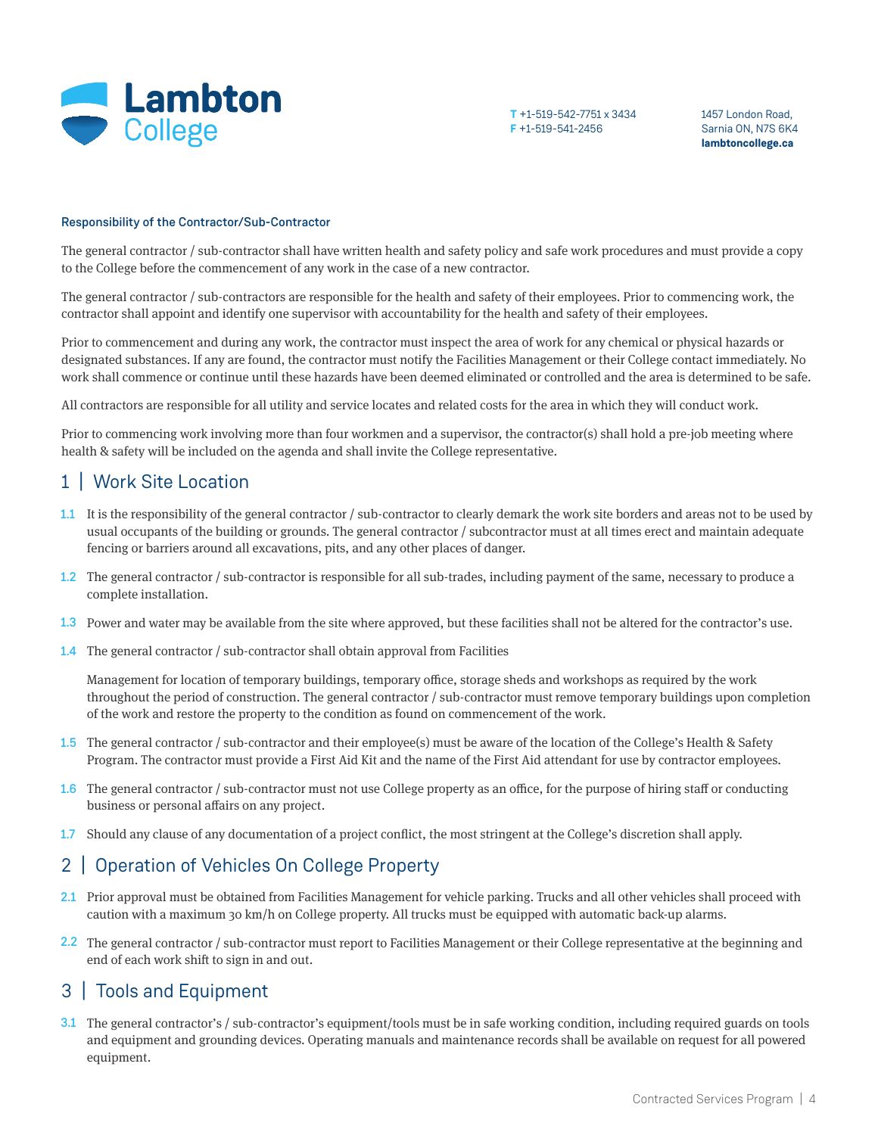

1457 London Road, Sarnia ON, N7S 6K4 **lambtoncollege.ca**

#### Responsibility of the Contractor/Sub-Contractor

The general contractor / sub-contractor shall have written health and safety policy and safe work procedures and must provide a copy to the College before the commencement of any work in the case of a new contractor.

The general contractor / sub-contractors are responsible for the health and safety of their employees. Prior to commencing work, the contractor shall appoint and identify one supervisor with accountability for the health and safety of their employees.

Prior to commencement and during any work, the contractor must inspect the area of work for any chemical or physical hazards or designated substances. If any are found, the contractor must notify the Facilities Management or their College contact immediately. No work shall commence or continue until these hazards have been deemed eliminated or controlled and the area is determined to be safe.

All contractors are responsible for all utility and service locates and related costs for the area in which they will conduct work.

Prior to commencing work involving more than four workmen and a supervisor, the contractor(s) shall hold a pre-job meeting where health & safety will be included on the agenda and shall invite the College representative.

#### 1 | Work Site Location

- 1.1 It is the responsibility of the general contractor / sub-contractor to clearly demark the work site borders and areas not to be used by usual occupants of the building or grounds. The general contractor / subcontractor must at all times erect and maintain adequate fencing or barriers around all excavations, pits, and any other places of danger.
- 1.2 The general contractor / sub-contractor is responsible for all sub-trades, including payment of the same, necessary to produce a complete installation.
- 1.3 Power and water may be available from the site where approved, but these facilities shall not be altered for the contractor's use.
- **1.4** The general contractor / sub-contractor shall obtain approval from Facilities

Management for location of temporary buildings, temporary office, storage sheds and workshops as required by the work throughout the period of construction. The general contractor / sub-contractor must remove temporary buildings upon completion of the work and restore the property to the condition as found on commencement of the work.

- 1.5 The general contractor / sub-contractor and their employee(s) must be aware of the location of the College's Health & Safety Program. The contractor must provide a First Aid Kit and the name of the First Aid attendant for use by contractor employees.
- 1.6 The general contractor / sub-contractor must not use College property as an office, for the purpose of hiring staff or conducting business or personal affairs on any project.
- Should any clause of any documentation of a project conflict, the most stringent at the College's discretion shall apply. 1.7

### 2 | Operation of Vehicles On College Property

- 2.1 Prior approval must be obtained from Facilities Management for vehicle parking. Trucks and all other vehicles shall proceed with caution with a maximum 30 km/h on College property. All trucks must be equipped with automatic back-up alarms.
- 2.2 The general contractor / sub-contractor must report to Facilities Management or their College representative at the beginning and end of each work shift to sign in and out.

#### 3 | Tools and Equipment

3.1 The general contractor's / sub-contractor's equipment/tools must be in safe working condition, including required guards on tools and equipment and grounding devices. Operating manuals and maintenance records shall be available on request for all powered equipment.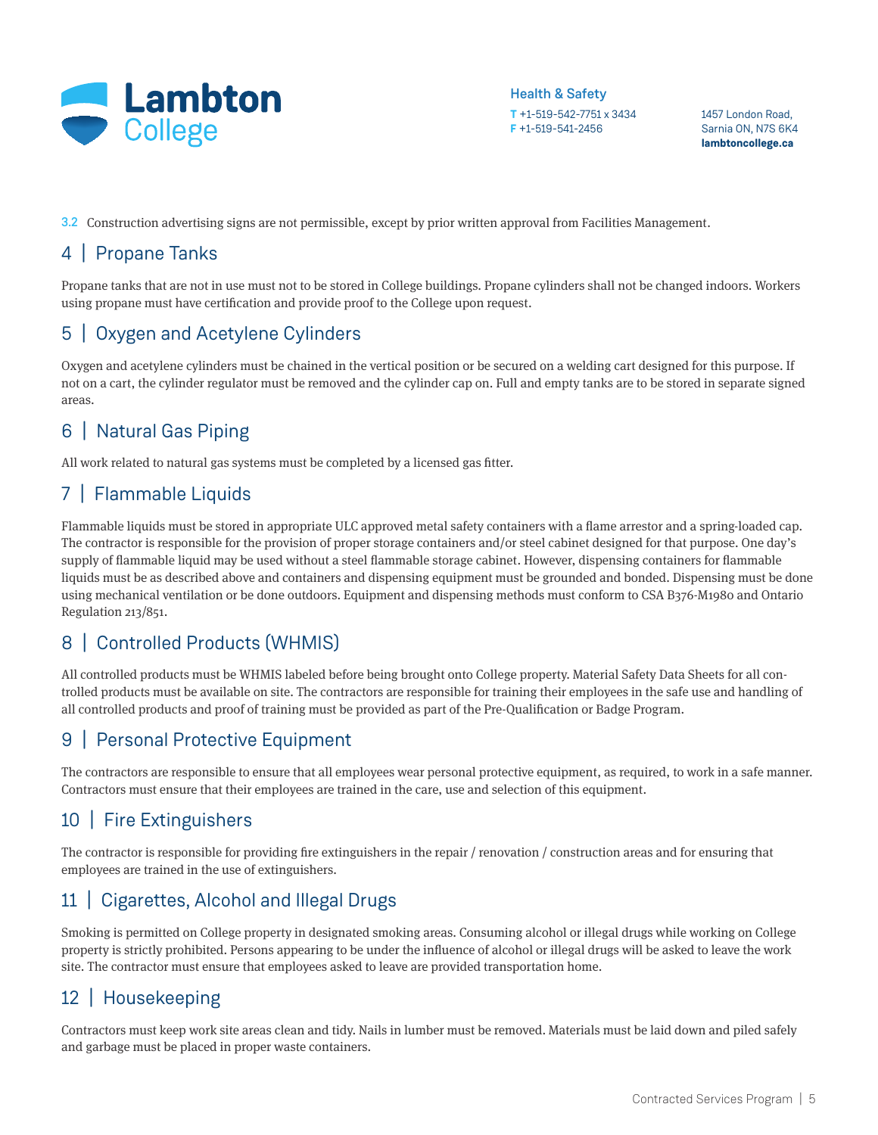

1457 London Road, Sarnia ON, N7S 6K4 **lambtoncollege.ca**

3.2 Construction advertising signs are not permissible, except by prior written approval from Facilities Management.

## 4 | Propane Tanks

Propane tanks that are not in use must not to be stored in College buildings. Propane cylinders shall not be changed indoors. Workers using propane must have certification and provide proof to the College upon request.

# 5 | Oxygen and Acetylene Cylinders

Oxygen and acetylene cylinders must be chained in the vertical position or be secured on a welding cart designed for this purpose. If not on a cart, the cylinder regulator must be removed and the cylinder cap on. Full and empty tanks are to be stored in separate signed areas.

# 6 | Natural Gas Piping

All work related to natural gas systems must be completed by a licensed gas fitter.

# 7 | Flammable Liquids

Flammable liquids must be stored in appropriate ULC approved metal safety containers with a flame arrestor and a spring-loaded cap. The contractor is responsible for the provision of proper storage containers and/or steel cabinet designed for that purpose. One day's supply of flammable liquid may be used without a steel flammable storage cabinet. However, dispensing containers for flammable liquids must be as described above and containers and dispensing equipment must be grounded and bonded. Dispensing must be done using mechanical ventilation or be done outdoors. Equipment and dispensing methods must conform to CSA B376-M1980 and Ontario Regulation 213/851.

# 8 | Controlled Products (WHMIS)

All controlled products must be WHMIS labeled before being brought onto College property. Material Safety Data Sheets for all controlled products must be available on site. The contractors are responsible for training their employees in the safe use and handling of all controlled products and proof of training must be provided as part of the Pre-Qualification or Badge Program.

# 9 | Personal Protective Equipment

The contractors are responsible to ensure that all employees wear personal protective equipment, as required, to work in a safe manner. Contractors must ensure that their employees are trained in the care, use and selection of this equipment.

### 10 | Fire Extinguishers

The contractor is responsible for providing fire extinguishers in the repair / renovation / construction areas and for ensuring that employees are trained in the use of extinguishers.

# 11 | Cigarettes, Alcohol and Illegal Drugs

Smoking is permitted on College property in designated smoking areas. Consuming alcohol or illegal drugs while working on College property is strictly prohibited. Persons appearing to be under the influence of alcohol or illegal drugs will be asked to leave the work site. The contractor must ensure that employees asked to leave are provided transportation home.

# 12 | Housekeeping

Contractors must keep work site areas clean and tidy. Nails in lumber must be removed. Materials must be laid down and piled safely and garbage must be placed in proper waste containers.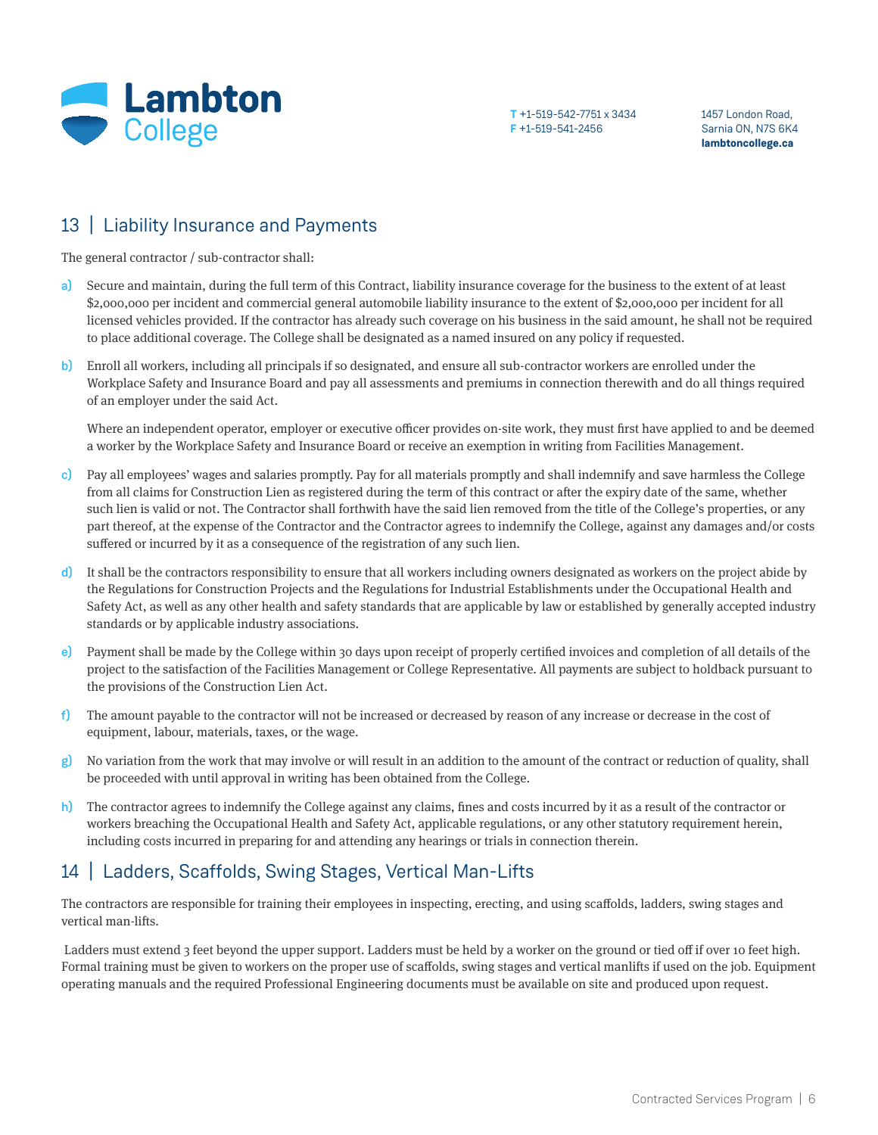

1457 London Road, Sarnia ON, N7S 6K4 **lambtoncollege.ca**

#### 13 | Liability Insurance and Payments

The general contractor / sub-contractor shall:

- Secure and maintain, during the full term of this Contract, liability insurance coverage for the business to the extent of at least \$2,000,000 per incident and commercial general automobile liability insurance to the extent of \$2,000,000 per incident for all licensed vehicles provided. If the contractor has already such coverage on his business in the said amount, he shall not be required to place additional coverage. The College shall be designated as a named insured on any policy if requested. a)
- Enroll all workers, including all principals if so designated, and ensure all sub-contractor workers are enrolled under the Workplace Safety and Insurance Board and pay all assessments and premiums in connection therewith and do all things required of an employer under the said Act. b)

Where an independent operator, employer or executive officer provides on-site work, they must first have applied to and be deemed a worker by the Workplace Safety and Insurance Board or receive an exemption in writing from Facilities Management.

- c) Pay all employees' wages and salaries promptly. Pay for all materials promptly and shall indemnify and save harmless the College from all claims for Construction Lien as registered during the term of this contract or after the expiry date of the same, whether such lien is valid or not. The Contractor shall forthwith have the said lien removed from the title of the College's properties, or any part thereof, at the expense of the Contractor and the Contractor agrees to indemnify the College, against any damages and/or costs suffered or incurred by it as a consequence of the registration of any such lien.
- It shall be the contractors responsibility to ensure that all workers including owners designated as workers on the project abide by the Regulations for Construction Projects and the Regulations for Industrial Establishments under the Occupational Health and Safety Act, as well as any other health and safety standards that are applicable by law or established by generally accepted industry standards or by applicable industry associations. d)
- Payment shall be made by the College within 30 days upon receipt of properly certified invoices and completion of all details of the project to the satisfaction of the Facilities Management or College Representative. All payments are subject to holdback pursuant to the provisions of the Construction Lien Act. e)
- The amount payable to the contractor will not be increased or decreased by reason of any increase or decrease in the cost of equipment, labour, materials, taxes, or the wage. f)
- g) No variation from the work that may involve or will result in an addition to the amount of the contract or reduction of quality, shall be proceeded with until approval in writing has been obtained from the College.
- The contractor agrees to indemnify the College against any claims, fines and costs incurred by it as a result of the contractor or workers breaching the Occupational Health and Safety Act, applicable regulations, or any other statutory requirement herein, including costs incurred in preparing for and attending any hearings or trials in connection therein. h)

#### 14 | Ladders, Scaffolds, Swing Stages, Vertical Man-Lifts

The contractors are responsible for training their employees in inspecting, erecting, and using scaffolds, ladders, swing stages and vertical man-lifts.

Ladders must extend 3 feet beyond the upper support. Ladders must be held by a worker on the ground or tied off if over 10 feet high. Formal training must be given to workers on the proper use of scaffolds, swing stages and vertical manlifts if used on the job. Equipment operating manuals and the required Professional Engineering documents must be available on site and produced upon request.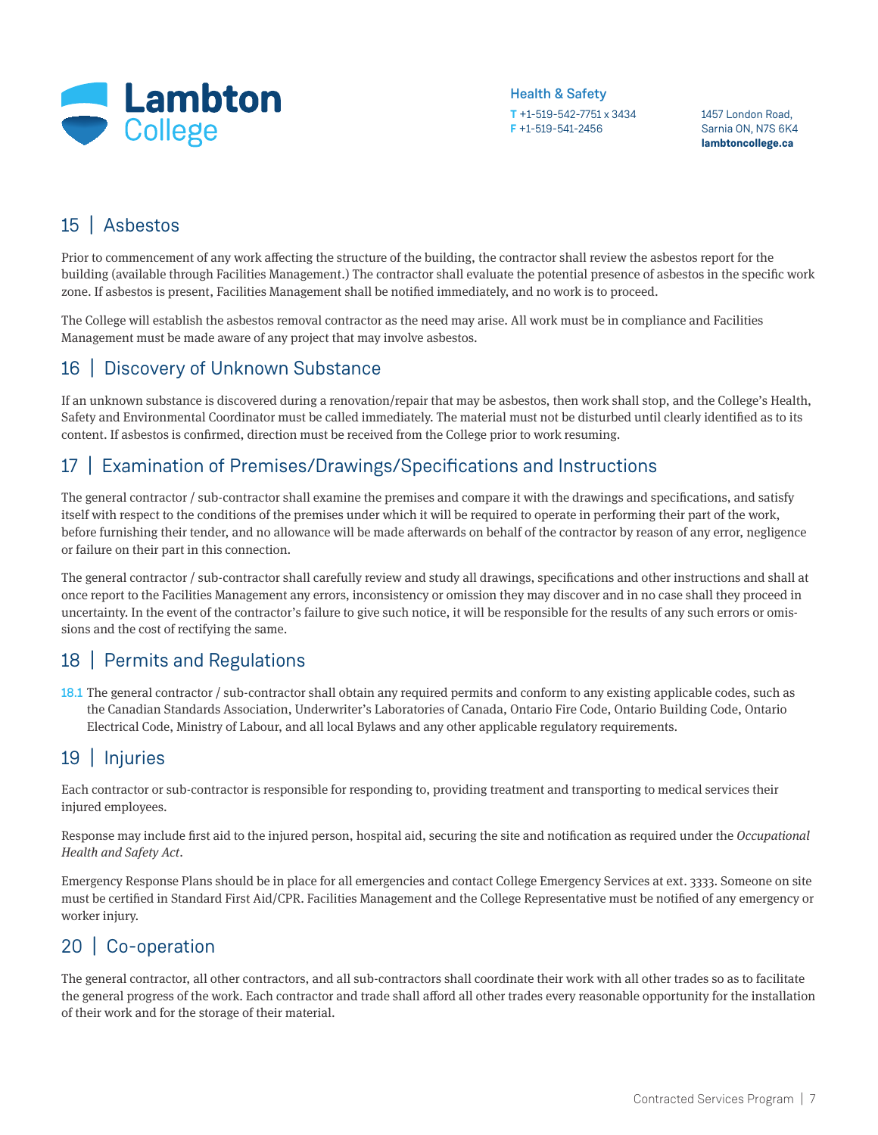

**T** +1-519-542-7751 x 3434 Health & Safety

**F** +1-519-541-2456

1457 London Road, Sarnia ON, N7S 6K4 **lambtoncollege.ca**

## 15 | Asbestos

Prior to commencement of any work affecting the structure of the building, the contractor shall review the asbestos report for the building (available through Facilities Management.) The contractor shall evaluate the potential presence of asbestos in the specific work zone. If asbestos is present, Facilities Management shall be notified immediately, and no work is to proceed.

The College will establish the asbestos removal contractor as the need may arise. All work must be in compliance and Facilities Management must be made aware of any project that may involve asbestos.

### 16 | Discovery of Unknown Substance

If an unknown substance is discovered during a renovation/repair that may be asbestos, then work shall stop, and the College's Health, Safety and Environmental Coordinator must be called immediately. The material must not be disturbed until clearly identified as to its content. If asbestos is confirmed, direction must be received from the College prior to work resuming.

### 17 | Examination of Premises/Drawings/Specifications and Instructions

The general contractor / sub-contractor shall examine the premises and compare it with the drawings and specifications, and satisfy itself with respect to the conditions of the premises under which it will be required to operate in performing their part of the work, before furnishing their tender, and no allowance will be made afterwards on behalf of the contractor by reason of any error, negligence or failure on their part in this connection.

The general contractor / sub-contractor shall carefully review and study all drawings, specifications and other instructions and shall at once report to the Facilities Management any errors, inconsistency or omission they may discover and in no case shall they proceed in uncertainty. In the event of the contractor's failure to give such notice, it will be responsible for the results of any such errors or omissions and the cost of rectifying the same.

### 18 | Permits and Regulations

18.1 The general contractor / sub-contractor shall obtain any required permits and conform to any existing applicable codes, such as the Canadian Standards Association, Underwriter's Laboratories of Canada, Ontario Fire Code, Ontario Building Code, Ontario Electrical Code, Ministry of Labour, and all local Bylaws and any other applicable regulatory requirements.

# 19 | Injuries

Each contractor or sub-contractor is responsible for responding to, providing treatment and transporting to medical services their injured employees.

Response may include first aid to the injured person, hospital aid, securing the site and notification as required under the *Occupational Health and Safety Act*.

Emergency Response Plans should be in place for all emergencies and contact College Emergency Services at ext. 3333. Someone on site must be certified in Standard First Aid/CPR. Facilities Management and the College Representative must be notified of any emergency or worker injury.

# 20 | Co-operation

The general contractor, all other contractors, and all sub-contractors shall coordinate their work with all other trades so as to facilitate the general progress of the work. Each contractor and trade shall afford all other trades every reasonable opportunity for the installation of their work and for the storage of their material.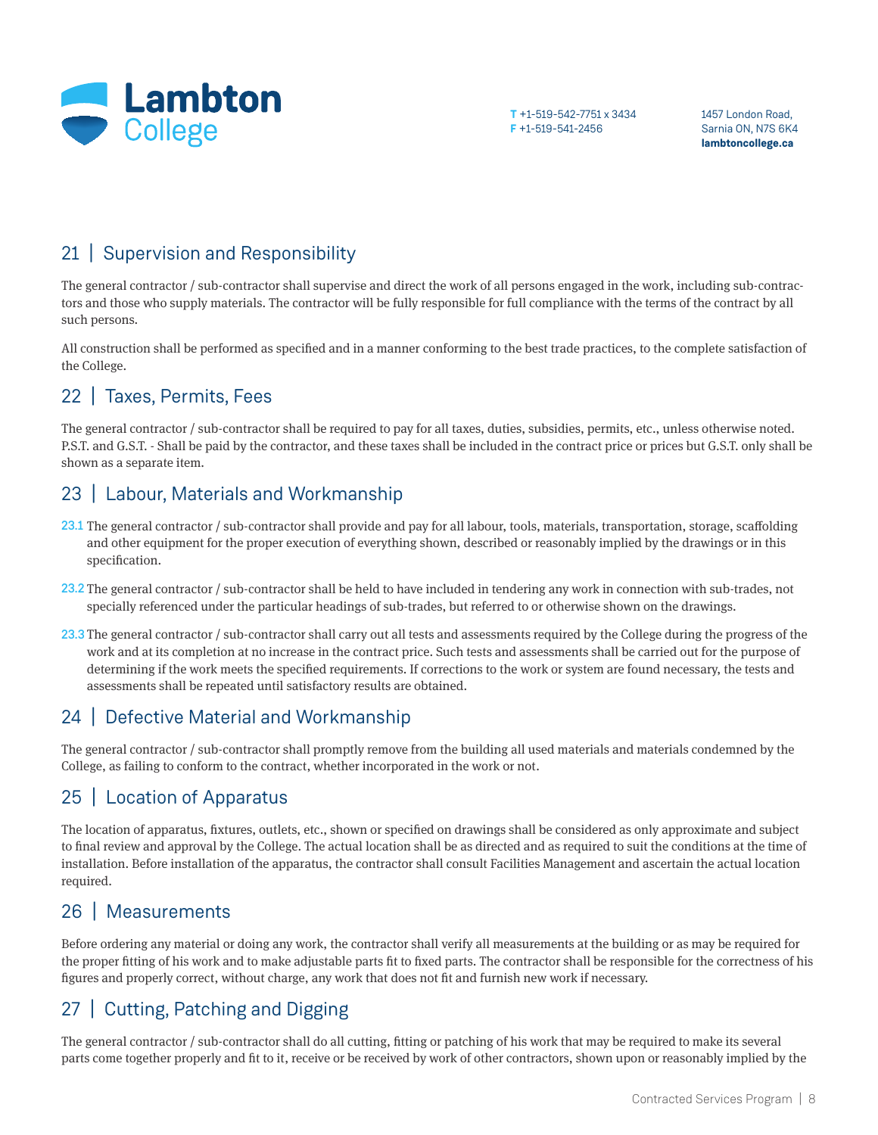

1457 London Road, Sarnia ON, N7S 6K4 **lambtoncollege.ca**

## 21 | Supervision and Responsibility

The general contractor / sub-contractor shall supervise and direct the work of all persons engaged in the work, including sub-contractors and those who supply materials. The contractor will be fully responsible for full compliance with the terms of the contract by all such persons.

All construction shall be performed as specified and in a manner conforming to the best trade practices, to the complete satisfaction of the College.

# 22 | Taxes, Permits, Fees

The general contractor / sub-contractor shall be required to pay for all taxes, duties, subsidies, permits, etc., unless otherwise noted. P.S.T. and G.S.T. - Shall be paid by the contractor, and these taxes shall be included in the contract price or prices but G.S.T. only shall be shown as a separate item.

## 23 | Labour, Materials and Workmanship

- 23.1 The general contractor / sub-contractor shall provide and pay for all labour, tools, materials, transportation, storage, scaffolding and other equipment for the proper execution of everything shown, described or reasonably implied by the drawings or in this specification.
- 23.2 The general contractor / sub-contractor shall be held to have included in tendering any work in connection with sub-trades, not specially referenced under the particular headings of sub-trades, but referred to or otherwise shown on the drawings.
- 23.3 The general contractor / sub-contractor shall carry out all tests and assessments required by the College during the progress of the work and at its completion at no increase in the contract price. Such tests and assessments shall be carried out for the purpose of determining if the work meets the specified requirements. If corrections to the work or system are found necessary, the tests and assessments shall be repeated until satisfactory results are obtained.

### 24 | Defective Material and Workmanship

The general contractor / sub-contractor shall promptly remove from the building all used materials and materials condemned by the College, as failing to conform to the contract, whether incorporated in the work or not.

# 25 | Location of Apparatus

The location of apparatus, fixtures, outlets, etc., shown or specified on drawings shall be considered as only approximate and subject to final review and approval by the College. The actual location shall be as directed and as required to suit the conditions at the time of installation. Before installation of the apparatus, the contractor shall consult Facilities Management and ascertain the actual location required.

#### 26 | Measurements

Before ordering any material or doing any work, the contractor shall verify all measurements at the building or as may be required for the proper fitting of his work and to make adjustable parts fit to fixed parts. The contractor shall be responsible for the correctness of his figures and properly correct, without charge, any work that does not fit and furnish new work if necessary.

# 27 | Cutting, Patching and Digging

The general contractor / sub-contractor shall do all cutting, fitting or patching of his work that may be required to make its several parts come together properly and fit to it, receive or be received by work of other contractors, shown upon or reasonably implied by the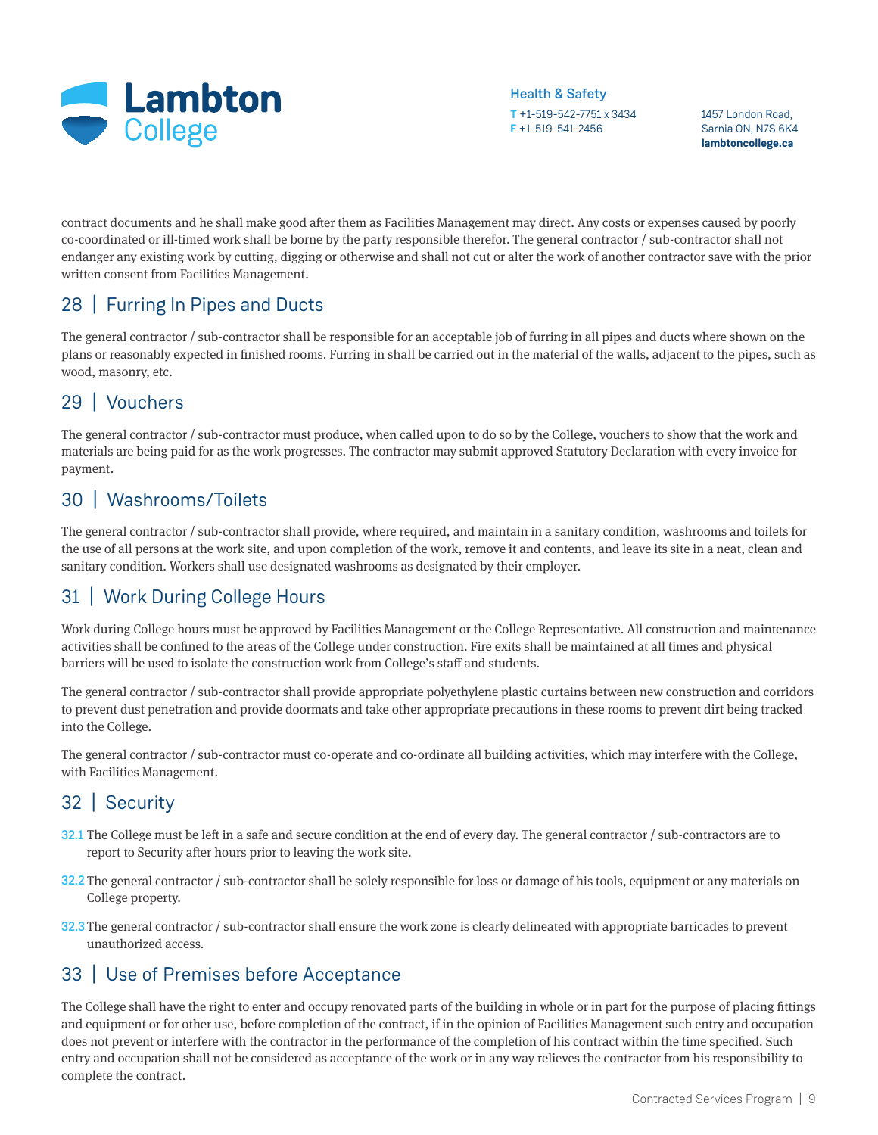

1457 London Road, Sarnia ON, N7S 6K4 **lambtoncollege.ca**

contract documents and he shall make good after them as Facilities Management may direct. Any costs or expenses caused by poorly co-coordinated or ill-timed work shall be borne by the party responsible therefor. The general contractor / sub-contractor shall not endanger any existing work by cutting, digging or otherwise and shall not cut or alter the work of another contractor save with the prior written consent from Facilities Management.

## 28 | Furring In Pipes and Ducts

The general contractor / sub-contractor shall be responsible for an acceptable job of furring in all pipes and ducts where shown on the plans or reasonably expected in finished rooms. Furring in shall be carried out in the material of the walls, adjacent to the pipes, such as wood, masonry, etc.

# 29 | Vouchers

The general contractor / sub-contractor must produce, when called upon to do so by the College, vouchers to show that the work and materials are being paid for as the work progresses. The contractor may submit approved Statutory Declaration with every invoice for payment.

### 30 | Washrooms/Toilets

The general contractor / sub-contractor shall provide, where required, and maintain in a sanitary condition, washrooms and toilets for the use of all persons at the work site, and upon completion of the work, remove it and contents, and leave its site in a neat, clean and sanitary condition. Workers shall use designated washrooms as designated by their employer.

# 31 | Work During College Hours

Work during College hours must be approved by Facilities Management or the College Representative. All construction and maintenance activities shall be confined to the areas of the College under construction. Fire exits shall be maintained at all times and physical barriers will be used to isolate the construction work from College's staff and students.

The general contractor / sub-contractor shall provide appropriate polyethylene plastic curtains between new construction and corridors to prevent dust penetration and provide doormats and take other appropriate precautions in these rooms to prevent dirt being tracked into the College.

The general contractor / sub-contractor must co-operate and co-ordinate all building activities, which may interfere with the College, with Facilities Management.

# 32 | Security

- 32.1 The College must be left in a safe and secure condition at the end of every day. The general contractor / sub-contractors are to report to Security after hours prior to leaving the work site.
- 32.2 The general contractor / sub-contractor shall be solely responsible for loss or damage of his tools, equipment or any materials on College property.
- 32.3 The general contractor / sub-contractor shall ensure the work zone is clearly delineated with appropriate barricades to prevent unauthorized access.

### 33 | Use of Premises before Acceptance

The College shall have the right to enter and occupy renovated parts of the building in whole or in part for the purpose of placing fittings and equipment or for other use, before completion of the contract, if in the opinion of Facilities Management such entry and occupation does not prevent or interfere with the contractor in the performance of the completion of his contract within the time specified. Such entry and occupation shall not be considered as acceptance of the work or in any way relieves the contractor from his responsibility to complete the contract.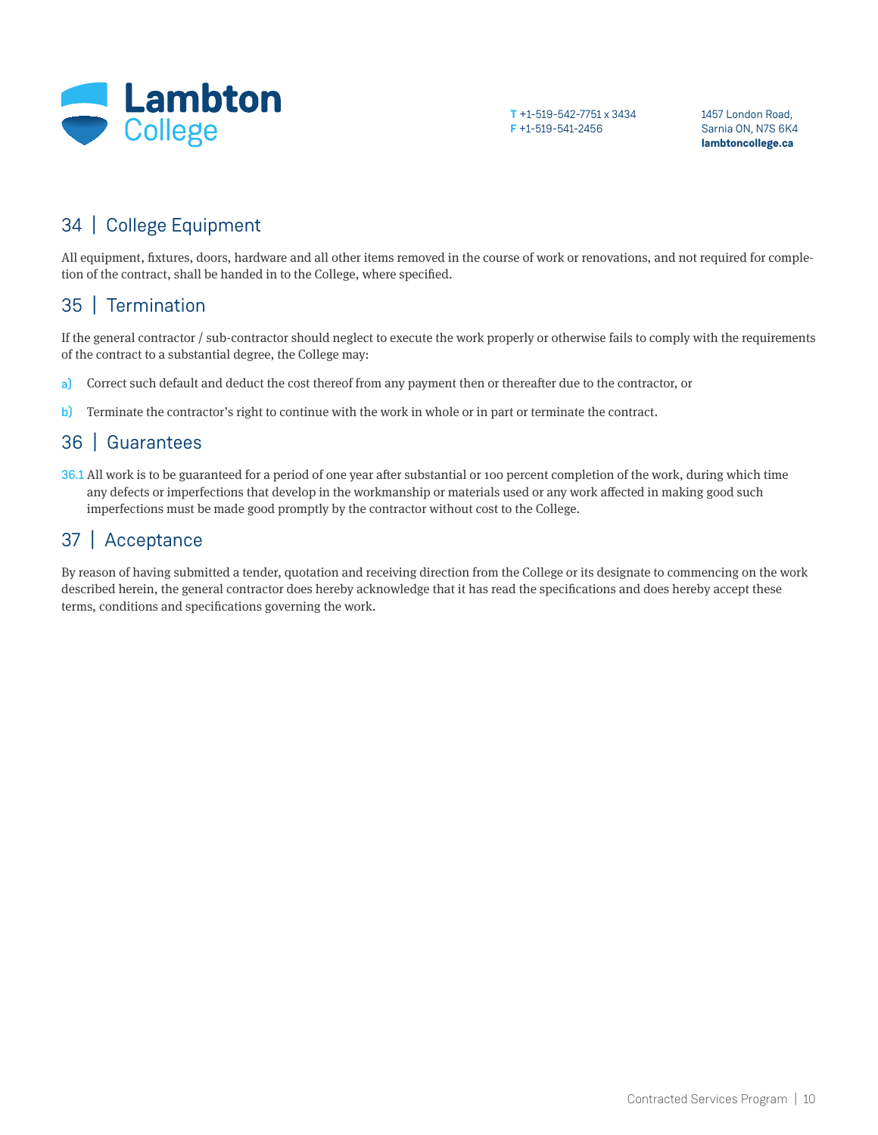

1457 London Road, Sarnia ON, N7S 6K4 **lambtoncollege.ca**

# 34 | College Equipment

All equipment, fixtures, doors, hardware and all other items removed in the course of work or renovations, and not required for completion of the contract, shall be handed in to the College, where specified.

### 35 | Termination

If the general contractor / sub-contractor should neglect to execute the work properly or otherwise fails to comply with the requirements of the contract to a substantial degree, the College may:

- Correct such default and deduct the cost thereof from any payment then or thereafter due to the contractor, or a)
- Terminate the contractor's right to continue with the work in whole or in part or terminate the contract. b)

### 36 | Guarantees

36.1 All work is to be guaranteed for a period of one year after substantial or 100 percent completion of the work, during which time any defects or imperfections that develop in the workmanship or materials used or any work affected in making good such imperfections must be made good promptly by the contractor without cost to the College.

### 37 | Acceptance

By reason of having submitted a tender, quotation and receiving direction from the College or its designate to commencing on the work described herein, the general contractor does hereby acknowledge that it has read the specifications and does hereby accept these terms, conditions and specifications governing the work.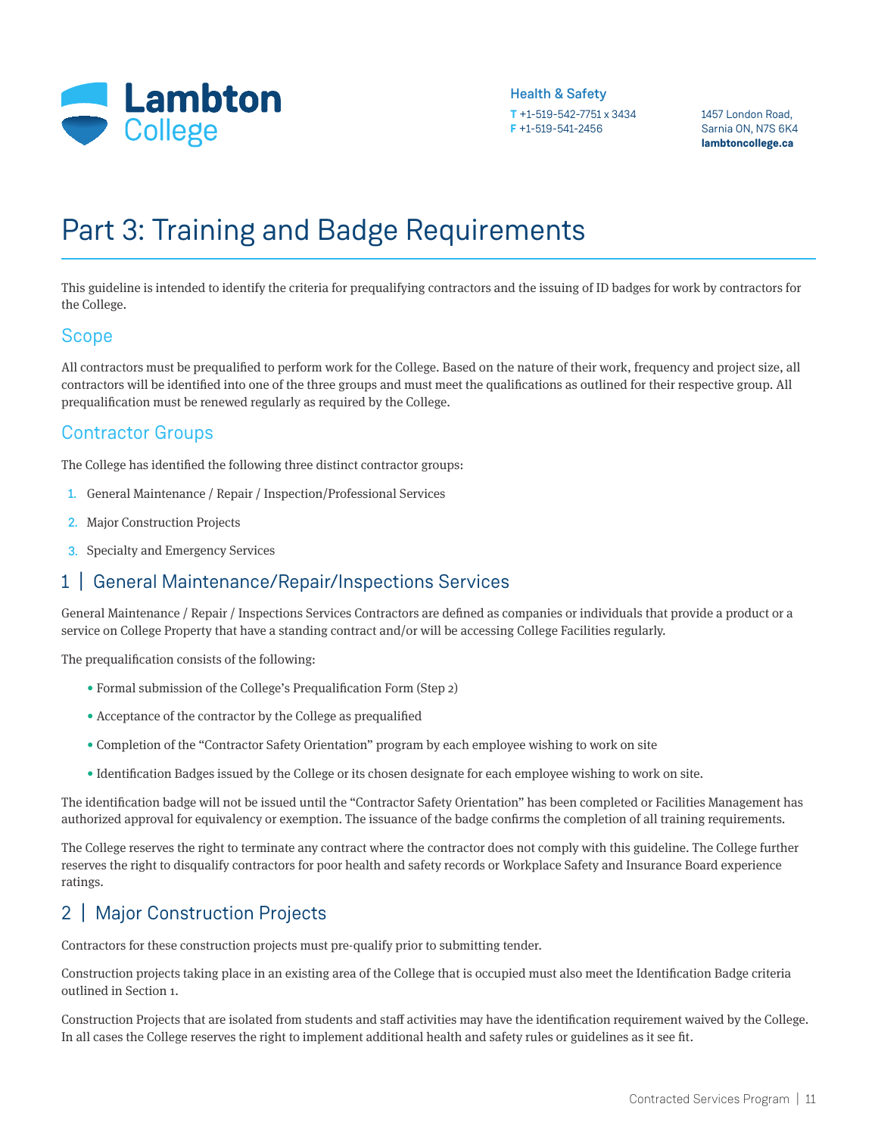

1457 London Road, Sarnia ON, N7S 6K4 **lambtoncollege.ca**

# Part 3: Training and Badge Requirements

This guideline is intended to identify the criteria for prequalifying contractors and the issuing of ID badges for work by contractors for the College.

#### Scope

All contractors must be prequalified to perform work for the College. Based on the nature of their work, frequency and project size, all contractors will be identified into one of the three groups and must meet the qualifications as outlined for their respective group. All prequalification must be renewed regularly as required by the College.

#### Contractor Groups

The College has identified the following three distinct contractor groups:

- 1. General Maintenance / Repair / Inspection/Professional Services
- 2. Major Construction Projects
- **3.** Specialty and Emergency Services

### 1 | General Maintenance/Repair/Inspections Services

General Maintenance / Repair / Inspections Services Contractors are defined as companies or individuals that provide a product or a service on College Property that have a standing contract and/or will be accessing College Facilities regularly.

The prequalification consists of the following:

- Formal submission of the College's Prequalification Form (Step 2)
- Acceptance of the contractor by the College as prequalified
- Completion of the "Contractor Safety Orientation" program by each employee wishing to work on site
- Identification Badges issued by the College or its chosen designate for each employee wishing to work on site.

The identification badge will not be issued until the "Contractor Safety Orientation" has been completed or Facilities Management has authorized approval for equivalency or exemption. The issuance of the badge confirms the completion of all training requirements.

The College reserves the right to terminate any contract where the contractor does not comply with this guideline. The College further reserves the right to disqualify contractors for poor health and safety records or Workplace Safety and Insurance Board experience ratings.

# 2 | Major Construction Projects

Contractors for these construction projects must pre-qualify prior to submitting tender.

Construction projects taking place in an existing area of the College that is occupied must also meet the Identification Badge criteria outlined in Section 1.

Construction Projects that are isolated from students and staff activities may have the identification requirement waived by the College. In all cases the College reserves the right to implement additional health and safety rules or guidelines as it see fit.